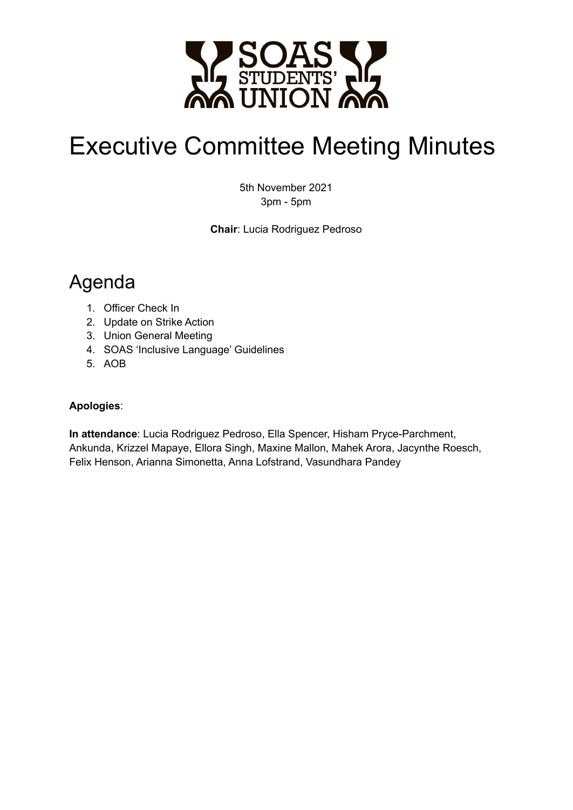

# Executive Committee Meeting Minutes

5th November 2021 3pm - 5pm

**Chair**: Lucia Rodriguez Pedroso

## Agenda

- 1. Officer Check In
- 2. Update on Strike Action
- 3. Union General Meeting
- 4. SOAS 'Inclusive Language' Guidelines
- 5. AOB

#### **Apologies**:

**In attendance**: Lucia Rodriguez Pedroso, Ella Spencer, Hisham Pryce-Parchment, Ankunda, Krizzel Mapaye, Ellora Singh, Maxine Mallon, Mahek Arora, Jacynthe Roesch, Felix Henson, Arianna Simonetta, Anna Lofstrand, Vasundhara Pandey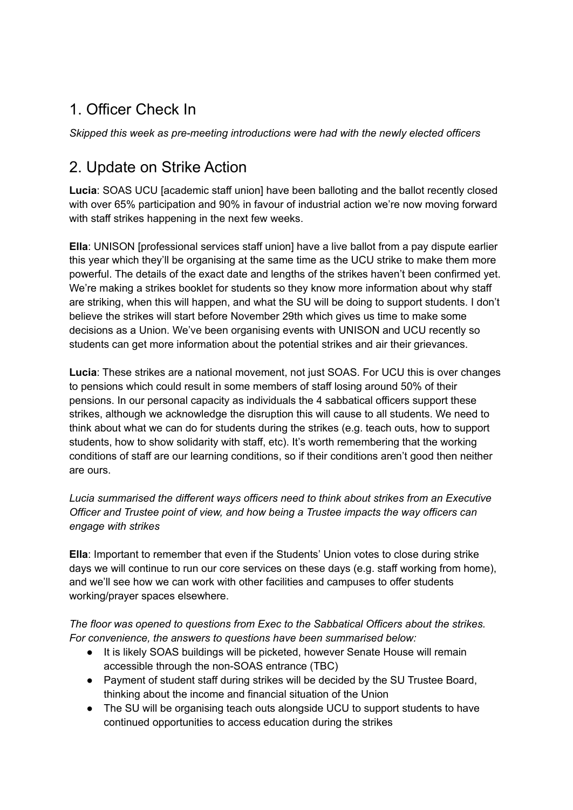### 1. Officer Check In

*Skipped this week as pre-meeting introductions were had with the newly elected officers*

#### 2. Update on Strike Action

**Lucia**: SOAS UCU [academic staff union] have been balloting and the ballot recently closed with over 65% participation and 90% in favour of industrial action we're now moving forward with staff strikes happening in the next few weeks.

**Ella**: UNISON [professional services staff union] have a live ballot from a pay dispute earlier this year which they'll be organising at the same time as the UCU strike to make them more powerful. The details of the exact date and lengths of the strikes haven't been confirmed yet. We're making a strikes booklet for students so they know more information about why staff are striking, when this will happen, and what the SU will be doing to support students. I don't believe the strikes will start before November 29th which gives us time to make some decisions as a Union. We've been organising events with UNISON and UCU recently so students can get more information about the potential strikes and air their grievances.

**Lucia**: These strikes are a national movement, not just SOAS. For UCU this is over changes to pensions which could result in some members of staff losing around 50% of their pensions. In our personal capacity as individuals the 4 sabbatical officers support these strikes, although we acknowledge the disruption this will cause to all students. We need to think about what we can do for students during the strikes (e.g. teach outs, how to support students, how to show solidarity with staff, etc). It's worth remembering that the working conditions of staff are our learning conditions, so if their conditions aren't good then neither are ours.

*Lucia summarised the different ways officers need to think about strikes from an Executive Officer and Trustee point of view, and how being a Trustee impacts the way officers can engage with strikes*

**Ella**: Important to remember that even if the Students' Union votes to close during strike days we will continue to run our core services on these days (e.g. staff working from home), and we'll see how we can work with other facilities and campuses to offer students working/prayer spaces elsewhere.

*The floor was opened to questions from Exec to the Sabbatical Officers about the strikes. For convenience, the answers to questions have been summarised below:*

- It is likely SOAS buildings will be picketed, however Senate House will remain accessible through the non-SOAS entrance (TBC)
- Payment of student staff during strikes will be decided by the SU Trustee Board, thinking about the income and financial situation of the Union
- The SU will be organising teach outs alongside UCU to support students to have continued opportunities to access education during the strikes